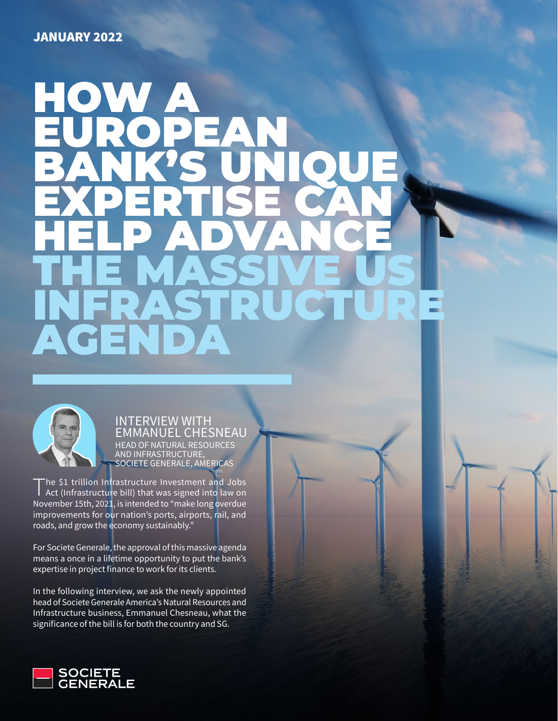# HOW A EUROPEAN BANK'S UNIQUE EXPERTISE CAN HELP ADVANCE THE MASSIVE US INFRASTRUCTURE AGENDA



INTERVIEW WITH EMMANUEL CHESNEAU HEAD OF NATURAL RESOURCES AND INFRASTRUCTURE, SOCIETE GENERALE, AMERICAS

The \$1 trillion Infrastructure Investment and Jobs<br>Act (Infrastructure bill) that was signed into law on November 15th, 2021, is intended to "make long overdue improvements for our nation's ports, airports, rail, and roads, and grow the economy sustainably."

For Societe Generale, the approval of this massive agenda means a once in a lifetime opportunity to put the bank's expertise in project finance to work for its clients.

In the following interview, we ask the newly appointed head of Societe Generale America's Natural Resources and Infrastructure business, Emmanuel Chesneau, what the significance of the bill is for both the country and SG.

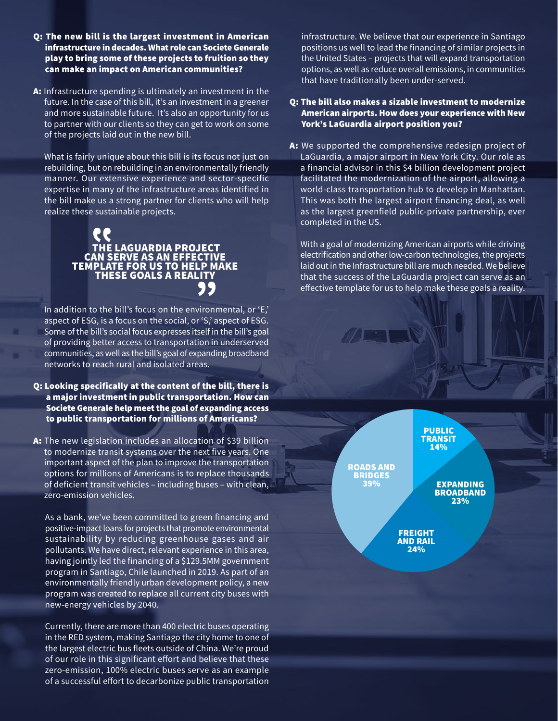- Q: The new bill is the largest investment in American infrastructure in decades. What role can Societe Generale play to bring some of these projects to fruition so they can make an impact on American communities?
- A: Infrastructure spending is ultimately an investment in the future. In the case of this bill, it's an investment in a greener and more sustainable future. It's also an opportunity for us to partner with our clients so they can get to work on some of the projects laid out in the new bill.

What is fairly unique about this bill is its focus not just on rebuilding, but on rebuilding in an environmentally friendly manner. Our extensive experience and sector-specific expertise in many of the infrastructure areas identified in the bill make us a strong partner for clients who will help realize these sustainable projects.

## THE LAGUARDIA PROJECT CAN SERVE AS AN EFFECTIVE TEMPLATE FOR US TO HELP MAKE THESE GOALS A REALITY

In addition to the bill's focus on the environmental, or 'E,' aspect of ESG, is a focus on the social, or 'S,' aspect of ESG. Some of the bill's social focus expresses itself in the bill's goal of providing better access to transportation in underserved communities, as well as the bill's goal of expanding broadband networks to reach rural and isolated areas.

Q: Looking specifically at the content of the bill, there is a major investment in public transportation. How can Societe Generale help meet the goal of expanding access to public transportation for millions of Americans?

A: The new legislation includes an allocation of \$39 billion to modernize transit systems over the next five years. One important aspect of the plan to improve the transportation options for millions of Americans is to replace thousands of deficient transit vehicles – including buses – with clean, zero-emission vehicles.

As a bank, we've been committed to green financing and positive-impact loans for projects that promote environmental sustainability by reducing greenhouse gases and air pollutants. We have direct, relevant experience in this area, having jointly led the financing of a \$129.5MM government program in Santiago, Chile launched in 2019. As part of an environmentally friendly urban development policy, a new program was created to replace all current city buses with new-energy vehicles by 2040.

Currently, there are more than 400 electric buses operating in the RED system, making Santiago the city home to one of the largest electric bus fleets outside of China. We're proud of our role in this significant effort and believe that these zero-emission, 100% electric buses serve as an example of a successful effort to decarbonize public transportation infrastructure. We believe that our experience in Santiago positions us well to lead the financing of similar projects in the United States – projects that will expand transportation options, as well as reduce overall emissions, in communities that have traditionally been under-served.

#### Q: The bill also makes a sizable investment to modernize American airports. How does your experience with New York's LaGuardia airport position you?

A: We supported the comprehensive redesign project of LaGuardia, a major airport in New York City. Our role as a financial advisor in this \$4 billion development project facilitated the modernization of the airport, allowing a world-class transportation hub to develop in Manhattan. This was both the largest airport financing deal, as well as the largest greenfield public-private partnership, ever completed in the US.

With a goal of modernizing American airports while driving electrification and other low-carbon technologies, the projects laid out in the Infrastructure bill are much needed. We believe that the success of the LaGuardia project can serve as an effective template for us to help make these goals a reality.

A Service Company

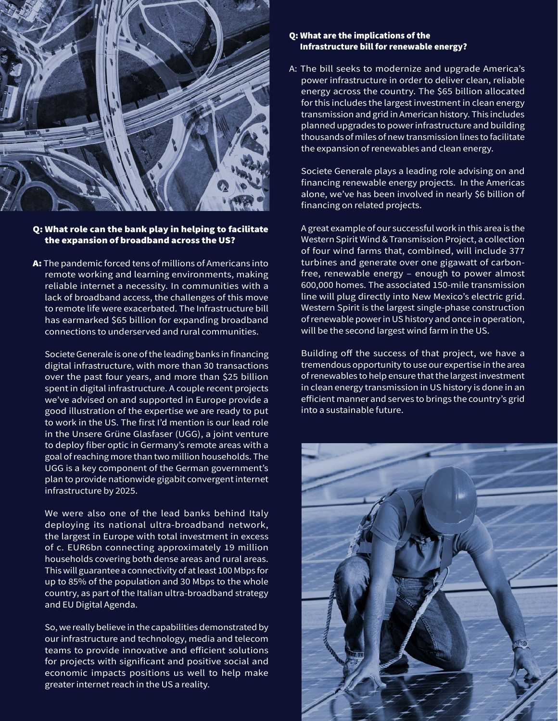

### Q: What role can the bank play in helping to facilitate the expansion of broadband across the US?

A: The pandemic forced tens of millions of Americans into remote working and learning environments, making reliable internet a necessity. In communities with a lack of broadband access, the challenges of this move to remote life were exacerbated. The Infrastructure bill has earmarked \$65 billion for expanding broadband connections to underserved and rural communities.

Societe Generale is one of the leading banks in financing digital infrastructure, with more than 30 transactions over the past four years, and more than \$25 billion spent in digital infrastructure. A couple recent projects we've advised on and supported in Europe provide a good illustration of the expertise we are ready to put to work in the US. The first I'd mention is our lead role in the Unsere Grüne Glasfaser (UGG), a joint venture to deploy fiber optic in Germany's remote areas with a goal of reaching more than two million households. The UGG is a key component of the German government's plan to provide nationwide gigabit convergent internet infrastructure by 2025.

We were also one of the lead banks behind Italy deploying its national ultra-broadband network, the largest in Europe with total investment in excess of c. EUR6bn connecting approximately 19 million households covering both dense areas and rural areas. This will guarantee a connectivity of at least 100 Mbps for up to 85% of the population and 30 Mbps to the whole country, as part of the Italian ultra-broadband strategy and EU Digital Agenda.

So, we really believe in the capabilities demonstrated by our infrastructure and technology, media and telecom teams to provide innovative and efficient solutions for projects with significant and positive social and economic impacts positions us well to help make greater internet reach in the US a reality.

#### Q: What are the implications of the Infrastructure bill for renewable energy?

A: The bill seeks to modernize and upgrade America's power infrastructure in order to deliver clean, reliable energy across the country. The \$65 billion allocated for this includes the largest investment in clean energy transmission and grid in American history. This includes planned upgrades to power infrastructure and building thousands of miles of new transmission lines to facilitate the expansion of renewables and clean energy.

Societe Generale plays a leading role advising on and financing renewable energy projects. In the Americas alone, we've has been involved in nearly \$6 billion of financing on related projects.

A great example of our successful work in this area is the Western Spirit Wind & Transmission Project, a collection of four wind farms that, combined, will include 377 turbines and generate over one gigawatt of carbonfree, renewable energy – enough to power almost 600,000 homes. The associated 150-mile transmission line will plug directly into New Mexico's electric grid. Western Spirit is the largest single-phase construction of renewable power in US history and once in operation, will be the second largest wind farm in the US.

Building off the success of that project, we have a tremendous opportunity to use our expertise in the area of renewables to help ensure that the largest investment in clean energy transmission in US history is done in an efficient manner and serves to brings the country's grid into a sustainable future.